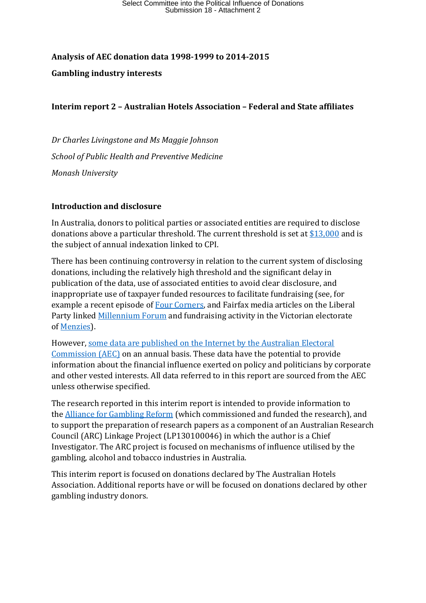## **Analysis of AEC donation data 1998-1999 to 2014-2015 Gambling industry interests**

## **Interim report 2 – Australian Hotels Association – Federal and State affiliates**

*Dr Charles Livingstone and Ms Maggie Johnson School of Public Health and Preventive Medicine Monash University*

## **Introduction and disclosure**

In Australia, donors to political parties or associated entities are required to disclose donations above a particular threshold. The current threshold is set at  $$13,000$  and is the subject of annual indexation linked to CPI.

There has been continuing controversy in relation to the current system of disclosing donations, including the relatively high threshold and the significant delay in publication of the data, use of associated entities to avoid clear disclosure, and inappropriate use of taxpayer funded resources to facilitate fundraising (see, for example a recent episode of [Four Corners,](http://www.abc.net.au/4corners/stories/2016/05/23/4465448.htm) and Fairfax media articles on the Liberal Party linked [Millennium](http://www.smh.com.au/nsw/nsw-liberals-launch-fundraising-body-to-replace-discredited-millennium-forum-20140725-zwppv.html) Forum and fundraising activity in the Victorian electorate of [Menzies\)](http://www.smh.com.au/nsw/liberal-fundraising-club-was-run-by-kevin-andrews-staffer-20150729-gimx3s.html).

However[, some data are published on the Internet by the Australian Electoral](http://www.aec.gov.au/Parties_and_Representatives/financial_disclosure/index.htm)  [Commission \(AEC\)](http://www.aec.gov.au/Parties_and_Representatives/financial_disclosure/index.htm) on an annual basis. These data have the potential to provide information about the financial influence exerted on policy and politicians by corporate and other vested interests. All data referred to in this report are sourced from the AEC unless otherwise specified.

The research reported in this interim report is intended to provide information to the [Alliance for Gambling Reform](http://www.pokiesplayyou.org.au/) (which commissioned and funded the research), and to support the preparation of research papers as a component of an Australian Research Council (ARC) Linkage Project (LP130100046) in which the author is a Chief Investigator. The ARC project is focused on mechanisms of influence utilised by the gambling, alcohol and tobacco industries in Australia.

This interim report is focused on donations declared by The Australian Hotels Association. Additional reports have or will be focused on donations declared by other gambling industry donors.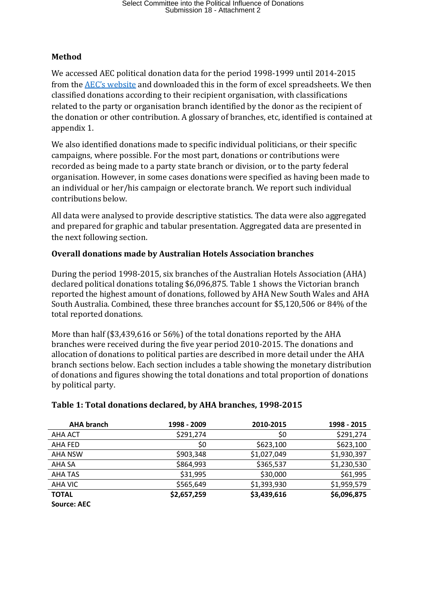## **Method**

We accessed AEC political donation data for the period 1998-1999 until 2014-2015 from the [AEC's website](http://periodicdisclosures.aec.gov.au/Donor.aspx?SubmissionId=56&ClientId=16043) and downloaded this in the form of excel spreadsheets. We then classified donations according to their recipient organisation, with classifications related to the party or organisation branch identified by the donor as the recipient of the donation or other contribution. A glossary of branches, etc, identified is contained at appendix 1.

We also identified donations made to specific individual politicians, or their specific campaigns, where possible. For the most part, donations or contributions were recorded as being made to a party state branch or division, or to the party federal organisation. However, in some cases donations were specified as having been made to an individual or her/his campaign or electorate branch. We report such individual contributions below.

All data were analysed to provide descriptive statistics. The data were also aggregated and prepared for graphic and tabular presentation. Aggregated data are presented in the next following section.

## **Overall donations made by Australian Hotels Association branches**

During the period 1998-2015, six branches of the Australian Hotels Association (AHA) declared political donations totaling \$6,096,875. Table 1 shows the Victorian branch reported the highest amount of donations, followed by AHA New South Wales and AHA South Australia. Combined, these three branches account for \$5,120,506 or 84% of the total reported donations.

More than half (\$3,439,616 or 56%) of the total donations reported by the AHA branches were received during the five year period 2010-2015. The donations and allocation of donations to political parties are described in more detail under the AHA branch sections below. Each section includes a table showing the monetary distribution of donations and figures showing the total donations and total proportion of donations by political party.

| <b>AHA branch</b> | 1998 - 2009 | 2010-2015   | 1998 - 2015 |
|-------------------|-------------|-------------|-------------|
| AHA ACT           | \$291,274   | \$0         | \$291,274   |
| AHA FED           | \$0         | \$623,100   | \$623,100   |
| <b>AHA NSW</b>    | \$903,348   | \$1,027,049 | \$1,930,397 |
| AHA SA            | \$864,993   | \$365,537   | \$1,230,530 |
| <b>AHA TAS</b>    | \$31,995    | \$30,000    | \$61,995    |
| AHA VIC           | \$565,649   | \$1,393,930 | \$1,959,579 |
| <b>TOTAL</b>      | \$2,657,259 | \$3,439,616 | \$6,096,875 |
| Source: AEC       |             |             |             |

## **Table 1: Total donations declared, by AHA branches, 1998-2015**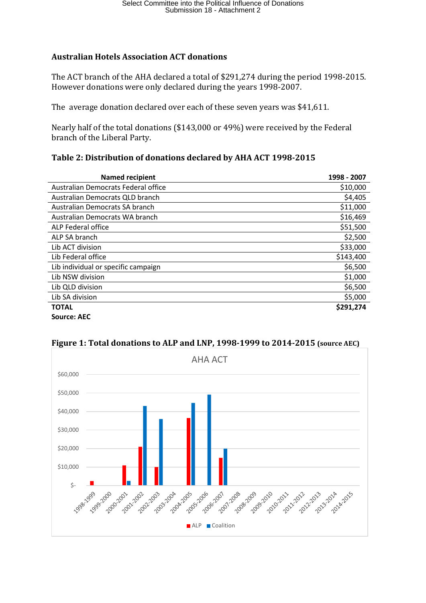## **Australian Hotels Association ACT donations**

The ACT branch of the AHA declared a total of \$291,274 during the period 1998-2015. However donations were only declared during the years 1998-2007.

The average donation declared over each of these seven years was \$41,611.

Nearly half of the total donations (\$143,000 or 49%) were received by the Federal branch of the Liberal Party.

## **Table 2: Distribution of donations declared by AHA ACT 1998-2015**

| <b>Named recipient</b>              | 1998 - 2007 |
|-------------------------------------|-------------|
| Australian Democrats Federal office | \$10,000    |
| Australian Democrats QLD branch     | \$4,405     |
| Australian Democrats SA branch      | \$11,000    |
| Australian Democrats WA branch      | \$16,469    |
| ALP Federal office                  | \$51,500    |
| ALP SA branch                       | \$2,500     |
| Lib ACT division                    | \$33,000    |
| Lib Federal office                  | \$143,400   |
| Lib individual or specific campaign | \$6,500     |
| Lib NSW division                    | \$1,000     |
| Lib QLD division                    | \$6,500     |
| Lib SA division                     | \$5,000     |
| <b>TOTAL</b>                        | \$291,274   |
| <b>Source: AEC</b>                  |             |



## **Figure 1: Total donations to ALP and LNP, 1998-1999 to 2014-2015 (source AEC)**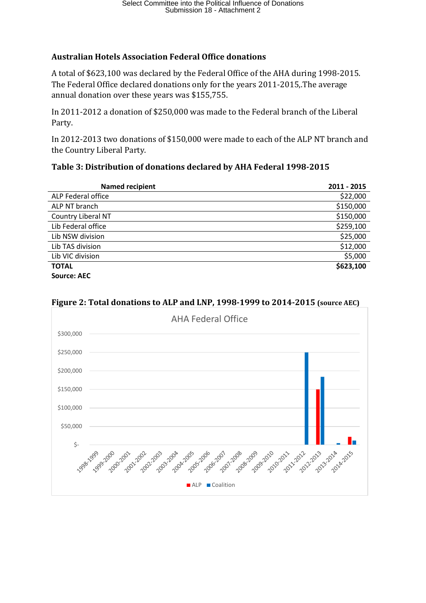## **Australian Hotels Association Federal Office donations**

A total of \$623,100 was declared by the Federal Office of the AHA during 1998-2015. The Federal Office declared donations only for the years 2011-2015,.The average annual donation over these years was \$155,755.

In 2011-2012 a donation of \$250,000 was made to the Federal branch of the Liberal Party.

In 2012-2013 two donations of \$150,000 were made to each of the ALP NT branch and the Country Liberal Party.

### **Table 3: Distribution of donations declared by AHA Federal 1998-2015**

| <b>Named recipient</b> | 2011 - 2015 |
|------------------------|-------------|
| ALP Federal office     | \$22,000    |
| ALP NT branch          | \$150,000   |
| Country Liberal NT     | \$150,000   |
| Lib Federal office     | \$259,100   |
| Lib NSW division       | \$25,000    |
| Lib TAS division       | \$12,000    |
| Lib VIC division       | \$5,000     |
| <b>TOTAL</b>           | \$623,100   |
| <b>Source: AEC</b>     |             |

## **Figure 2: Total donations to ALP and LNP, 1998-1999 to 2014-2015 (source AEC)**

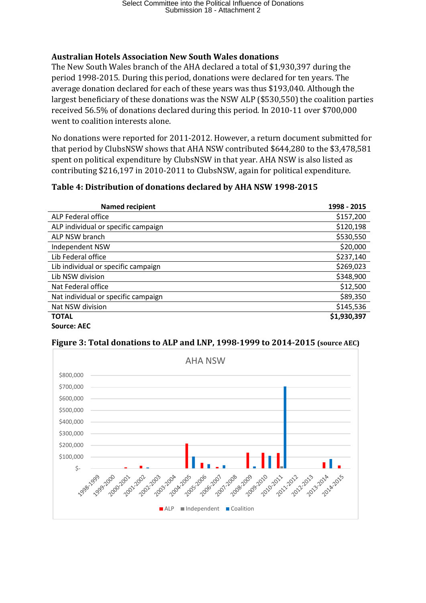## **Australian Hotels Association New South Wales donations**

The New South Wales branch of the AHA declared a total of \$1,930,397 during the period 1998-2015. During this period, donations were declared for ten years. The average donation declared for each of these years was thus \$193,040. Although the largest beneficiary of these donations was the NSW ALP (\$530,550) the coalition parties received 56.5% of donations declared during this period. In 2010-11 over \$700,000 went to coalition interests alone.

No donations were reported for 2011-2012. However, a return document submitted for that period by ClubsNSW shows that AHA NSW contributed \$644,280 to the \$3,478,581 spent on political expenditure by ClubsNSW in that year. AHA NSW is also listed as contributing \$216,197 in 2010-2011 to ClubsNSW, again for political expenditure.

## **Table 4: Distribution of donations declared by AHA NSW 1998-2015**

| <b>Named recipient</b>              | 1998 - 2015 |
|-------------------------------------|-------------|
| ALP Federal office                  | \$157,200   |
| ALP individual or specific campaign | \$120,198   |
| ALP NSW branch                      | \$530,550   |
| Independent NSW                     | \$20,000    |
| Lib Federal office                  | \$237,140   |
| Lib individual or specific campaign | \$269,023   |
| Lib NSW division                    | \$348,900   |
| Nat Federal office                  | \$12,500    |
| Nat individual or specific campaign | \$89,350    |
| Nat NSW division                    | \$145,536   |
| <b>TOTAL</b>                        | \$1,930,397 |
| Source: AEC                         |             |



### **Figure 3: Total donations to ALP and LNP, 1998-1999 to 2014-2015 (source AEC)**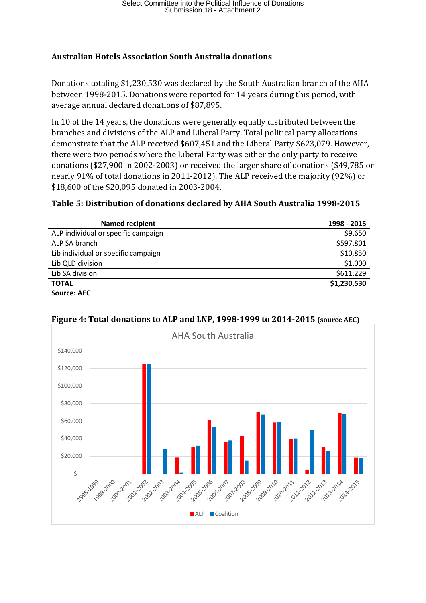## **Australian Hotels Association South Australia donations**

Donations totaling \$1,230,530 was declared by the South Australian branch of the AHA between 1998-2015. Donations were reported for 14 years during this period, with average annual declared donations of \$87,895.

In 10 of the 14 years, the donations were generally equally distributed between the branches and divisions of the ALP and Liberal Party. Total political party allocations demonstrate that the ALP received \$607,451 and the Liberal Party \$623,079. However, there were two periods where the Liberal Party was either the only party to receive donations (\$27,900 in 2002-2003) or received the larger share of donations (\$49,785 or nearly 91% of total donations in 2011-2012). The ALP received the majority (92%) or \$18,600 of the \$20,095 donated in 2003-2004.

## **Table 5: Distribution of donations declared by AHA South Australia 1998-2015**

| <b>Named recipient</b>              | 1998 - 2015 |
|-------------------------------------|-------------|
| ALP individual or specific campaign | \$9,650     |
| ALP SA branch                       | \$597,801   |
| Lib individual or specific campaign | \$10,850    |
| Lib QLD division                    | \$1,000     |
| Lib SA division                     | \$611,229   |
| <b>TOTAL</b>                        | \$1,230,530 |
| <b>Source: AEC</b>                  |             |



## **Figure 4: Total donations to ALP and LNP, 1998-1999 to 2014-2015 (source AEC)**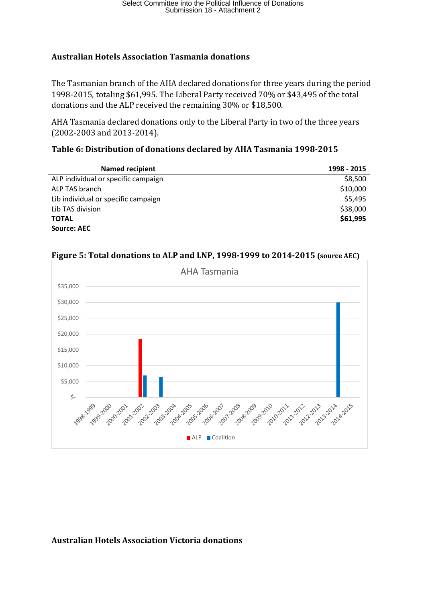### **Australian Hotels Association Tasmania donations**

The Tasmanian branch of the AHA declared donations for three years during the period 1998-2015, totaling \$61,995. The Liberal Party received 70% or \$43,495 of the total donations and the ALP received the remaining 30% or \$18,500.

AHA Tasmania declared donations only to the Liberal Party in two of the three years (2002-2003 and 2013-2014).

### **Table 6: Distribution of donations declared by AHA Tasmania 1998-2015**

| <b>Named recipient</b>              | 1998 - 2015 |
|-------------------------------------|-------------|
| ALP individual or specific campaign | \$8,500     |
| ALP TAS branch                      | \$10,000    |
| Lib individual or specific campaign | \$5,495     |
| Lib TAS division                    | \$38,000    |
| <b>TOTAL</b>                        | \$61,995    |
| <b>Source: AEC</b>                  |             |



#### **Figure 5: Total donations to ALP and LNP, 1998-1999 to 2014-2015 (source AEC)**

### **Australian Hotels Association Victoria donations**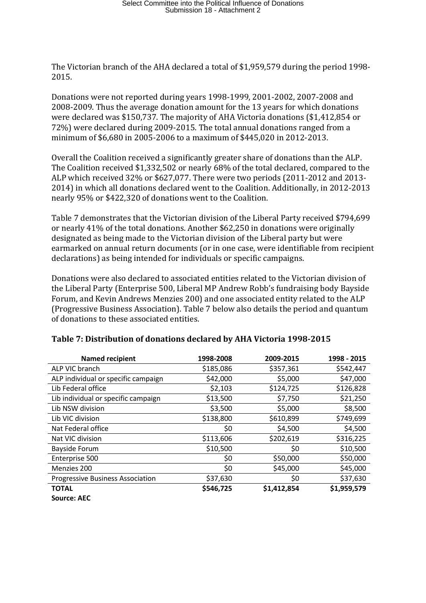The Victorian branch of the AHA declared a total of \$1,959,579 during the period 1998- 2015.

Donations were not reported during years 1998-1999, 2001-2002, 2007-2008 and 2008-2009. Thus the average donation amount for the 13 years for which donations were declared was \$150,737. The majority of AHA Victoria donations (\$1,412,854 or 72%) were declared during 2009-2015. The total annual donations ranged from a minimum of \$6,680 in 2005-2006 to a maximum of \$445,020 in 2012-2013.

Overall the Coalition received a significantly greater share of donations than the ALP. The Coalition received \$1,332,502 or nearly 68% of the total declared, compared to the ALP which received 32% or \$627,077. There were two periods (2011-2012 and 2013- 2014) in which all donations declared went to the Coalition. Additionally, in 2012-2013 nearly 95% or \$422,320 of donations went to the Coalition.

Table 7 demonstrates that the Victorian division of the Liberal Party received \$794,699 or nearly 41% of the total donations. Another \$62,250 in donations were originally designated as being made to the Victorian division of the Liberal party but were earmarked on annual return documents (or in one case, were identifiable from recipient declarations) as being intended for individuals or specific campaigns.

Donations were also declared to associated entities related to the Victorian division of the Liberal Party (Enterprise 500, Liberal MP Andrew Robb's fundraising body Bayside Forum, and Kevin Andrews Menzies 200) and one associated entity related to the ALP (Progressive Business Association). Table 7 below also details the period and quantum of donations to these associated entities.

| <b>Named recipient</b>                  | 1998-2008 | 2009-2015   | 1998 - 2015 |
|-----------------------------------------|-----------|-------------|-------------|
| ALP VIC branch                          | \$185,086 | \$357,361   | \$542,447   |
| ALP individual or specific campaign     | \$42,000  | \$5,000     | \$47,000    |
| Lib Federal office                      | \$2,103   | \$124,725   | \$126,828   |
| Lib individual or specific campaign     | \$13,500  | \$7,750     | \$21,250    |
| Lib NSW division                        | \$3,500   | \$5,000     | \$8,500     |
| Lib VIC division                        | \$138,800 | \$610,899   | \$749,699   |
| Nat Federal office                      | \$0       | \$4,500     | \$4,500     |
| Nat VIC division                        | \$113,606 | \$202,619   | \$316,225   |
| <b>Bayside Forum</b>                    | \$10,500  | \$0         | \$10,500    |
| Enterprise 500                          | \$0       | \$50,000    | \$50,000    |
| Menzies 200                             | \$0       | \$45,000    | \$45,000    |
| <b>Progressive Business Association</b> | \$37,630  | \$0         | \$37,630    |
| <b>TOTAL</b>                            | \$546,725 | \$1,412,854 | \$1,959,579 |
| <b>Source: AEC</b>                      |           |             |             |

### **Table 7: Distribution of donations declared by AHA Victoria 1998-2015**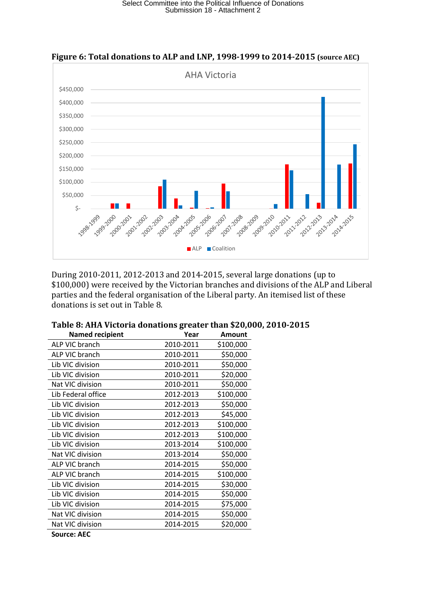

**Figure 6: Total donations to ALP and LNP, 1998-1999 to 2014-2015 (source AEC)**

During 2010-2011, 2012-2013 and 2014-2015, several large donations (up to \$100,000) were received by the Victorian branches and divisions of the ALP and Liberal parties and the federal organisation of the Liberal party. An itemised list of these donations is set out in Table 8.

| <b>Named recipient</b> | Year      | <b>Amount</b> |
|------------------------|-----------|---------------|
| ALP VIC branch         | 2010-2011 | \$100,000     |
| ALP VIC branch         | 2010-2011 | \$50,000      |
| Lib VIC division       | 2010-2011 | \$50,000      |
| Lib VIC division       | 2010-2011 | \$20,000      |
| Nat VIC division       | 2010-2011 | \$50,000      |
| Lib Federal office     | 2012-2013 | \$100,000     |
| Lib VIC division       | 2012-2013 | \$50,000      |
| Lib VIC division       | 2012-2013 | \$45,000      |
| Lib VIC division       | 2012-2013 | \$100,000     |
| Lib VIC division       | 2012-2013 | \$100,000     |
| Lib VIC division       | 2013-2014 | \$100,000     |
| Nat VIC division       | 2013-2014 | \$50,000      |
| ALP VIC branch         | 2014-2015 | \$50,000      |
| ALP VIC branch         | 2014-2015 | \$100,000     |
| Lib VIC division       | 2014-2015 | \$30,000      |
| Lib VIC division       | 2014-2015 | \$50,000      |
| Lib VIC division       | 2014-2015 | \$75,000      |
| Nat VIC division       | 2014-2015 | \$50,000      |
| Nat VIC division       | 2014-2015 | \$20,000      |
| <b>Source: AEC</b>     |           |               |

#### **Table 8: AHA Victoria donations greater than \$20,000, 2010-2015**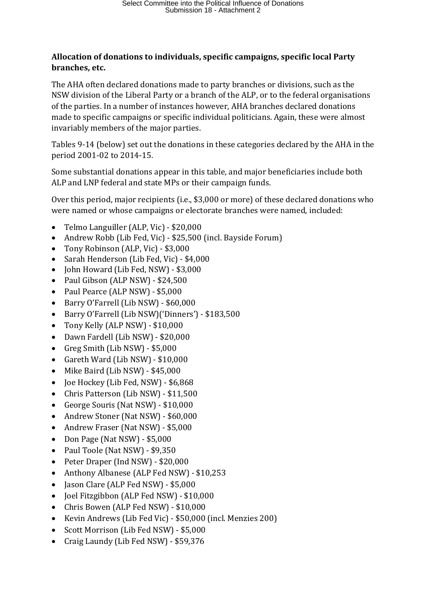## **Allocation of donations to individuals, specific campaigns, specific local Party branches, etc.**

The AHA often declared donations made to party branches or divisions, such as the NSW division of the Liberal Party or a branch of the ALP, or to the federal organisations of the parties. In a number of instances however, AHA branches declared donations made to specific campaigns or specific individual politicians. Again, these were almost invariably members of the major parties.

Tables 9-14 (below) set out the donations in these categories declared by the AHA in the period 2001-02 to 2014-15.

Some substantial donations appear in this table, and major beneficiaries include both ALP and LNP federal and state MPs or their campaign funds.

Over this period, major recipients (i.e., \$3,000 or more) of these declared donations who were named or whose campaigns or electorate branches were named, included:

- Telmo Languiller (ALP, Vic) \$20,000
- Andrew Robb (Lib Fed, Vic) \$25,500 (incl. Bayside Forum)
- Tony Robinson (ALP, Vic) \$3,000
- Sarah Henderson (Lib Fed, Vic) \$4,000
- John Howard (Lib Fed, NSW) \$3,000
- Paul Gibson (ALP NSW) \$24,500
- Paul Pearce (ALP NSW) \$5,000
- Barry O'Farrell (Lib NSW) \$60,000
- Barry O'Farrell (Lib NSW)('Dinners') \$183,500
- Tony Kelly (ALP NSW) \$10,000
- Dawn Fardell (Lib NSW) \$20,000
- Greg Smith (Lib NSW) \$5,000
- Gareth Ward (Lib NSW) \$10,000
- Mike Baird (Lib NSW) \$45,000
- Joe Hockey (Lib Fed, NSW) \$6,868
- Chris Patterson (Lib NSW) \$11,500
- George Souris (Nat NSW) \$10,000
- Andrew Stoner (Nat NSW) \$60,000
- Andrew Fraser (Nat NSW) \$5,000
- Don Page (Nat NSW) \$5,000
- Paul Toole (Nat NSW) \$9,350
- Peter Draper (Ind NSW) \$20,000
- Anthony Albanese (ALP Fed NSW) \$10,253
- Jason Clare (ALP Fed NSW) \$5,000
- Joel Fitzgibbon (ALP Fed NSW) \$10,000
- Chris Bowen (ALP Fed NSW) \$10,000
- Kevin Andrews (Lib Fed Vic) \$50,000 (incl. Menzies 200)
- Scott Morrison (Lib Fed NSW) \$5,000
- Craig Laundy (Lib Fed NSW) \$59,376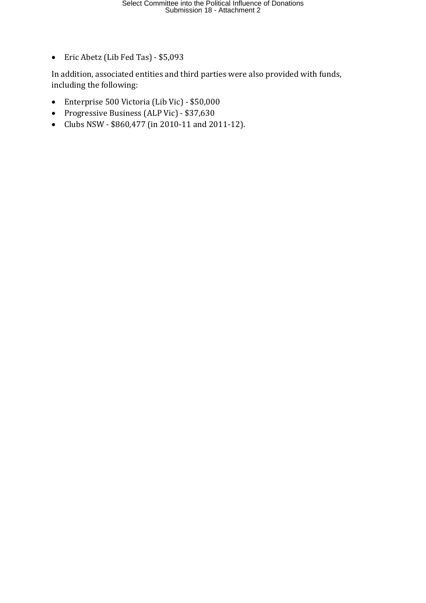• Eric Abetz (Lib Fed Tas) - \$5,093

In addition, associated entities and third parties were also provided with funds, including the following:

- Enterprise 500 Victoria (Lib Vic) \$50,000
- Progressive Business (ALP Vic) \$37,630
- Clubs NSW \$860,477 (in 2010-11 and 2011-12).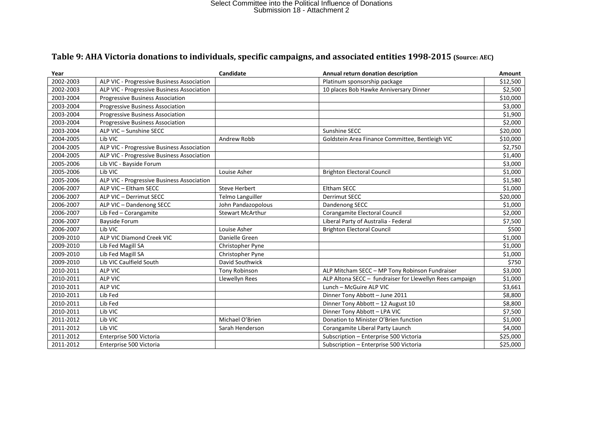## **Table 9: AHA Victoria donations to individuals, specific campaigns, and associated entities 1998-2015 (Source: AEC)**

| Year      |                                            | Candidate               | Annual return donation description                       | <b>Amount</b> |
|-----------|--------------------------------------------|-------------------------|----------------------------------------------------------|---------------|
| 2002-2003 | ALP VIC - Progressive Business Association |                         | Platinum sponsorship package                             | \$12,500      |
| 2002-2003 | ALP VIC - Progressive Business Association |                         | 10 places Bob Hawke Anniversary Dinner                   | \$2,500       |
| 2003-2004 | <b>Progressive Business Association</b>    |                         |                                                          | \$10,000      |
| 2003-2004 | Progressive Business Association           |                         |                                                          | \$3,000       |
| 2003-2004 | Progressive Business Association           |                         |                                                          | \$1,900       |
| 2003-2004 | <b>Progressive Business Association</b>    |                         |                                                          | \$2,000       |
| 2003-2004 | ALP VIC - Sunshine SECC                    |                         | Sunshine SECC                                            | \$20,000      |
| 2004-2005 | Lib VIC                                    | Andrew Robb             | Goldstein Area Finance Committee, Bentleigh VIC          | \$10,000      |
| 2004-2005 | ALP VIC - Progressive Business Association |                         |                                                          | \$2,750       |
| 2004-2005 | ALP VIC - Progressive Business Association |                         |                                                          | \$1,400       |
| 2005-2006 | Lib VIC - Bayside Forum                    |                         |                                                          | \$3,000       |
| 2005-2006 | Lib VIC                                    | Louise Asher            | <b>Brighton Electoral Council</b>                        | \$1,000       |
| 2005-2006 | ALP VIC - Progressive Business Association |                         |                                                          | \$1,580       |
| 2006-2007 | ALP VIC - Eltham SECC                      | <b>Steve Herbert</b>    | <b>Eltham SECC</b>                                       | \$1,000       |
| 2006-2007 | ALP VIC - Derrimut SECC                    | <b>Telmo Languiller</b> | <b>Derrimut SECC</b>                                     | \$20,000      |
| 2006-2007 | ALP VIC - Dandenong SECC                   | John Pandazopolous      | Dandenong SECC                                           | \$1,000       |
| 2006-2007 | Lib Fed - Corangamite                      | <b>Stewart McArthur</b> | Corangamite Electoral Council                            | \$2,000       |
| 2006-2007 | <b>Bayside Forum</b>                       |                         | Liberal Party of Australia - Federal                     | \$7,500       |
| 2006-2007 | Lib VIC                                    | Louise Asher            | <b>Brighton Electoral Council</b>                        | \$500         |
| 2009-2010 | ALP VIC Diamond Creek VIC                  | Danielle Green          |                                                          | \$1,000       |
| 2009-2010 | Lib Fed Magill SA                          | Christopher Pyne        |                                                          | \$1,000       |
| 2009-2010 | Lib Fed Magill SA                          | Christopher Pyne        |                                                          | \$1,000       |
| 2009-2010 | Lib VIC Caulfield South                    | David Southwick         |                                                          | \$750         |
| 2010-2011 | <b>ALP VIC</b>                             | Tony Robinson           | ALP Mitcham SECC - MP Tony Robinson Fundraiser           | \$3,000       |
| 2010-2011 | <b>ALP VIC</b>                             | Llewellyn Rees          | ALP Altona SECC - fundraiser for Llewellyn Rees campaign | \$1,000       |
| 2010-2011 | <b>ALP VIC</b>                             |                         | Lunch - McGuire ALP VIC                                  | \$3,661       |
| 2010-2011 | Lib Fed                                    |                         | Dinner Tony Abbott - June 2011                           | \$8,800       |
| 2010-2011 | Lib Fed                                    |                         | Dinner Tony Abbott - 12 August 10                        | \$8,800       |
| 2010-2011 | Lib VIC                                    |                         | Dinner Tony Abbott - LPA VIC                             | \$7,500       |
| 2011-2012 | Lib VIC                                    | Michael O'Brien         | Donation to Minister O'Brien function                    | \$1,000       |
| 2011-2012 | Lib VIC                                    | Sarah Henderson         | Corangamite Liberal Party Launch                         | \$4,000       |
| 2011-2012 | Enterprise 500 Victoria                    |                         | Subscription - Enterprise 500 Victoria                   | \$25,000      |
| 2011-2012 | Enterprise 500 Victoria                    |                         | Subscription - Enterprise 500 Victoria                   | \$25,000      |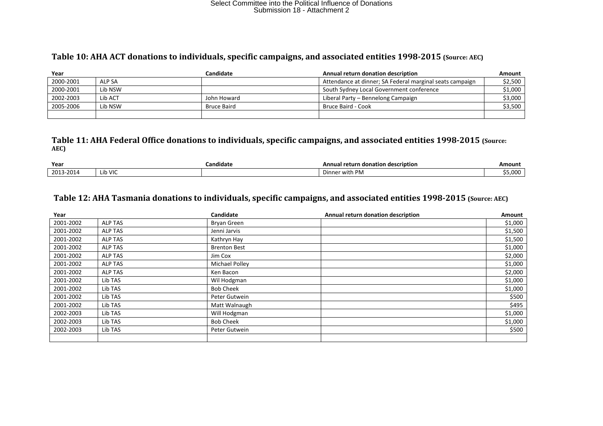#### **Table 10: AHA ACT donations to individuals, specific campaigns, and associated entities 1998-2015 (Source: AEC)**

| Year      |         | Candidate          | Annual return donation description                       | Amount  |
|-----------|---------|--------------------|----------------------------------------------------------|---------|
| 2000-2001 | ALP SA  |                    | Attendance at dinner; SA Federal marginal seats campaign | \$2,500 |
| 2000-2001 | Lib NSW |                    | South Sydney Local Government conference                 | \$1,000 |
| 2002-2003 | Lib ACT | John Howard        | Liberal Party – Bennelong Campaign                       | \$3,000 |
| 2005-2006 | Lib NSW | <b>Bruce Baird</b> | Bruce Baird - Cook                                       | \$3,500 |
|           |         |                    |                                                          |         |

#### **Table 11: AHA Federal Office donations to individuals, specific campaigns, and associated entities 1998-2015 (Source: AEC)**

| Year            |           | .<br>Candidate | ial return donation description<br>Annu <sup>.</sup> | Amount  |
|-----------------|-----------|----------------|------------------------------------------------------|---------|
| 2013<br>13-2014 | rib VIC س |                | Dinner<br>with<br>` PIv.                             | \$5,000 |

### **Table 12: AHA Tasmania donations to individuals, specific campaigns, and associated entities 1998-2015 (Source: AEC)**

| Year      |                | Candidate           | Annual return donation description | Amount  |
|-----------|----------------|---------------------|------------------------------------|---------|
| 2001-2002 | <b>ALP TAS</b> | Bryan Green         |                                    | \$1,000 |
| 2001-2002 | ALP TAS        | Jenni Jarvis        |                                    | \$1,500 |
| 2001-2002 | ALP TAS        | Kathryn Hay         |                                    | \$1,500 |
| 2001-2002 | ALP TAS        | <b>Brenton Best</b> |                                    | \$1,000 |
| 2001-2002 | ALP TAS        | Jim Cox             |                                    | \$2,000 |
| 2001-2002 | <b>ALP TAS</b> | Michael Polley      |                                    | \$1,000 |
| 2001-2002 | ALP TAS        | Ken Bacon           |                                    | \$2,000 |
| 2001-2002 | Lib TAS        | Wil Hodgman         |                                    | \$1,000 |
| 2001-2002 | Lib TAS        | <b>Bob Cheek</b>    |                                    | \$1,000 |
| 2001-2002 | Lib TAS        | Peter Gutwein       |                                    | \$500   |
| 2001-2002 | Lib TAS        | Matt Walnaugh       |                                    | \$495   |
| 2002-2003 | Lib TAS        | Will Hodgman        |                                    | \$1,000 |
| 2002-2003 | Lib TAS        | <b>Bob Cheek</b>    |                                    | \$1,000 |
| 2002-2003 | Lib TAS        | Peter Gutwein       |                                    | \$500   |
|           |                |                     |                                    |         |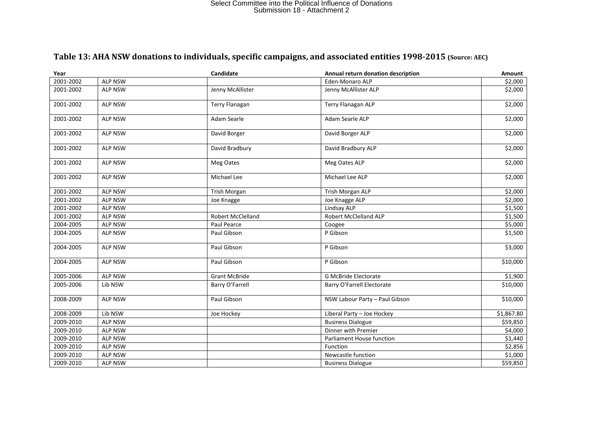## **Year Candidate Annual return donation description Amount** 2001-2002 ALP NSW Eden-Monaro ALP \$2,000 2001-2002 ALP NSW Jenny McAllister Jenny McAllister ALP \$2,000 2001-2002 ALP NSW Terry Flanagan Terry Flanagan ALP \$2,000 2001-2002 ALP NSW Adam Searle Adam Searle ALP \$2,000 2001-2002 ALP NSW David Borger David Borger ALP \$2,000 2001-2002 ALP NSW David Bradbury David Bradbury ALP \$2,000 2001-2002 ALP NSW Meg Oates Meg Oates ALP \$2,000 2001-2002 ALP NSW Michael Lee Michael Lee ALP \$2,000 2001-2002 ALP NSW Trish Morgan Trish Morgan ALP \$2,000 2001-2002 ALP NSW Joe Knagge Joe Knagge ALP \$2,000 2001-2002 ALP NSW Lindsay ALP \$1,500 2001-2002 ALP NSW Robert McClelland Robert McClelland Robert McClelland Rubbert McClelland S1.500 2004-2005 ALP NSW Paul Pearce Coogee \$5,000 2004-2005 ALP NSW Paul Gibson P Gibson \$1,500 2004-2005 | ALP NSW | Paul Gibson | P Gibson \$3,000 2004-2005 ALP NSW Paul Gibson P Gibson \$10,000 2005-2006 ALP NSW Grant McBride G McBride Electorate \$1,900 2005-2006 Lib NSW Barry O'Farrell Barry O'Farrell Barry O'Farrell Electorate Albert Electorate Albert 2005-2006 2008-2009 ALP NSW Paul Gibson Ruth Alphae ALP NSW Labour Party – Paul Gibson Alphae Alphae S10,000 2008-2009 Lib NSW Joe Hockey Liberal Party – Joe Hockey S1,867.80 2009-2010 | ALP NSW | Business Dialogue \$59,850 2009-2010 ALP NSW Dinner with Premier \$4,000 2009-2010 ALP NSW S1,440<br>
2009-2010 ALP NSW Function 52.856 2009-2010 ALP NSW Function \$2,856 2009-2010 ALP NSW Newcastle function \$1,000 2009-2010 | ALP NSW | Business Dialogue \$59,850

#### **Table 13: AHA NSW donations to individuals, specific campaigns, and associated entities 1998-2015 (Source: AEC)**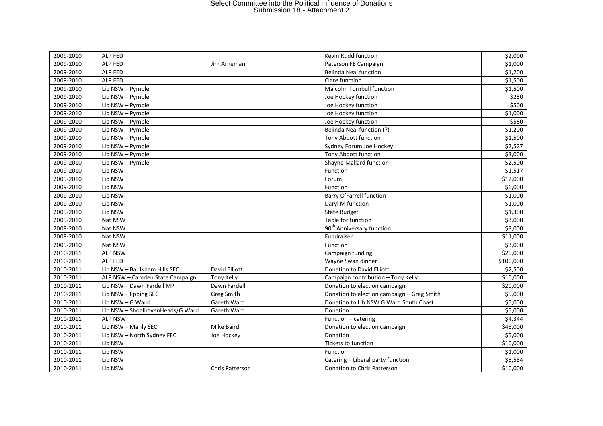| 2009-2010 | ALP FED                              |                   | Kevin Rudd function                        | \$2,000   |
|-----------|--------------------------------------|-------------------|--------------------------------------------|-----------|
| 2009-2010 | ALP FED                              | Jim Arneman       | Paterson FE Campaign                       | \$1,000   |
| 2009-2010 | ALP FED                              |                   | <b>Belinda Neal function</b>               | \$1,200   |
| 2009-2010 | ALP FED                              |                   | Clare function                             | \$1,500   |
| 2009-2010 | Lib NSW - Pymble                     |                   | <b>Malcolm Turnbull function</b>           | \$1,500   |
| 2009-2010 | $\overline{\text{Lib}}$ NSW - Pymble |                   | Joe Hockey function                        | \$250     |
| 2009-2010 | Lib NSW - Pymble                     |                   | Joe Hockey function                        | \$500     |
| 2009-2010 | Lib NSW - Pymble                     |                   | Joe Hockey function                        | \$1,000   |
| 2009-2010 | Lib NSW - Pymble                     |                   | Joe Hockey function                        | \$560     |
| 2009-2010 | Lib NSW - Pymble                     |                   | Belinda Neal function (?)                  | \$1,200   |
| 2009-2010 | Lib NSW - Pymble                     |                   | Tony Abbott function                       | \$1,500   |
| 2009-2010 | Lib NSW - Pymble                     |                   | Sydney Forum Joe Hockey                    | \$2,527   |
| 2009-2010 | Lib NSW - Pymble                     |                   | Tony Abbott function                       | \$3,000   |
| 2009-2010 | Lib NSW - Pymble                     |                   | Shayne Mallard function                    | \$2,500   |
| 2009-2010 | Lib NSW                              |                   | Function                                   | \$1,517   |
| 2009-2010 | Lib NSW                              |                   | Forum                                      | \$12,000  |
| 2009-2010 | Lib NSW                              |                   | Function                                   | \$6,000   |
| 2009-2010 | Lib NSW                              |                   | Barry O'Farrell function                   | \$1,000   |
| 2009-2010 | Lib NSW                              |                   | Daryl M function                           | \$1,000   |
| 2009-2010 | Lib NSW                              |                   | <b>State Budget</b>                        | \$1,300   |
| 2009-2010 | Nat NSW                              |                   | Table for function                         | \$3,000   |
| 2009-2010 | Nat NSW                              |                   | 90 <sup>th</sup> Anniversary function      | \$3,000   |
| 2009-2010 | Nat NSW                              |                   | Fundraiser                                 | \$11,000  |
| 2009-2010 | Nat NSW                              |                   | Function                                   | \$3,000   |
| 2010-2011 | <b>ALP NSW</b>                       |                   | Campaign funding                           | \$20,000  |
| 2010-2011 | ALP FED                              |                   | Wayne Swan dinner                          | \$100,000 |
| 2010-2011 | Lib NSW - Baulkham Hills SEC         | David Elliott     | Donation to David Elliott                  | \$2,500   |
| 2010-2011 | ALP NSW - Camden State Campaign      | <b>Tony Kelly</b> | Campaign contribution - Tony Kelly         | \$10,000  |
| 2010-2011 | Lib NSW - Dawn Fardell MP            | Dawn Fardell      | Donation to election campaign              | \$20,000  |
| 2010-2011 | Lib NSW - Epping SEC                 | <b>Greg Smith</b> | Donation to election campaign - Greg Smith | \$5,000   |
| 2010-2011 | Lib NSW - G Ward                     | Gareth Ward       | Donation to Lib NSW G Ward South Coast     | \$5,000   |
| 2010-2011 | Lib NSW - ShoalhavenHeads/G Ward     | Gareth Ward       | Donation                                   | \$5,000   |
| 2010-2011 | <b>ALP NSW</b>                       |                   | Function - catering                        | \$4,344   |
| 2010-2011 | Lib NSW - Manly SEC                  | Mike Baird        | Donation to election campaign              | \$45,000  |
| 2010-2011 | Lib NSW - North Sydney FEC           | Joe Hockey        | Donation                                   | \$5,000   |
| 2010-2011 | Lib NSW                              |                   | Tickets to function                        | \$10,000  |
| 2010-2011 | Lib NSW                              |                   | Function                                   | \$1,000   |
| 2010-2011 | Lib NSW                              |                   | Catering - Liberal party function          | \$5,584   |
| 2010-2011 | Lib NSW                              | Chris Patterson   | Donation to Chris Patterson                | \$10,000  |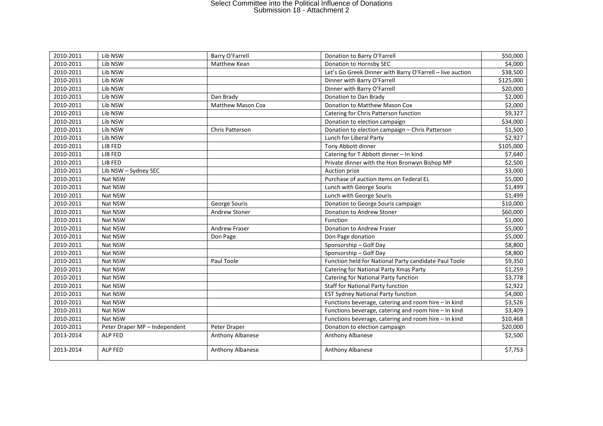| 2010-2011 | Lib NSW                       | Barry O'Farrell          | Donation to Barry O'Farrell                               | \$50,000  |
|-----------|-------------------------------|--------------------------|-----------------------------------------------------------|-----------|
| 2010-2011 | Lib NSW                       | Matthew Kean             | Donation to Hornsby SEC                                   | \$4,000   |
| 2010-2011 | Lib NSW                       |                          | Let's Go Greek Dinner with Barry O'Farrell - live auction | \$38,500  |
| 2010-2011 | Lib NSW                       |                          | Dinner with Barry O'Farrell                               | \$125,000 |
| 2010-2011 | Lib NSW                       |                          | Dinner with Barry O'Farrell                               | \$20,000  |
| 2010-2011 | Lib NSW                       | Dan Brady                | Donation to Dan Brady                                     | \$2,000   |
| 2010-2011 | Lib NSW                       | <b>Matthew Mason Cox</b> | Donation to Matthew Mason Cox                             | \$2,000   |
| 2010-2011 | Lib NSW                       |                          | Catering for Chris Patterson function                     | \$9,327   |
| 2010-2011 | Lib NSW                       |                          | Donation to election campaign                             | \$34,000  |
| 2010-2011 | Lib NSW                       | Chris Patterson          | Donation to election campaign - Chris Patterson           | \$1,500   |
| 2010-2011 | Lib NSW                       |                          | Lunch for Liberal Party                                   | \$2,927   |
| 2010-2011 | LIB FED                       |                          | Tony Abbott dinner                                        | \$105,000 |
| 2010-2011 | LIB FED                       |                          | Catering for T Abbott dinner - In kind                    | \$7,640   |
| 2010-2011 | LIB FED                       |                          | Private dinner with the Hon Bronwyn Bishop MP             | \$2,500   |
| 2010-2011 | Lib NSW - Sydney SEC          |                          | Auction prize                                             | \$3,000   |
| 2010-2011 | Nat NSW                       |                          | Purchase of auction items on Federal EL                   | \$5,000   |
| 2010-2011 | Nat NSW                       |                          | Lunch with George Souris                                  | \$1,499   |
| 2010-2011 | Nat NSW                       |                          | Lunch with George Souris                                  | \$1,499   |
| 2010-2011 | Nat NSW                       | George Souris            | Donation to George Souris campaign                        | \$10,000  |
| 2010-2011 | Nat NSW                       | Andrew Stoner            | Donation to Andrew Stoner                                 | \$60,000  |
| 2010-2011 | Nat NSW                       |                          | Function                                                  | \$1,000   |
| 2010-2011 | Nat NSW                       | <b>Andrew Fraser</b>     | Donation to Andrew Fraser                                 | \$5,000   |
| 2010-2011 | Nat NSW                       | Don Page                 | Don Page donation                                         | \$5,000   |
| 2010-2011 | Nat NSW                       |                          | Sponsorship - Golf Day                                    | \$8,800   |
| 2010-2011 | Nat NSW                       |                          | Sponsorship - Golf Day                                    | \$8,800   |
| 2010-2011 | Nat NSW                       | Paul Toole               | Function held for National Party candidate Paul Toole     | \$9,350   |
| 2010-2011 | Nat NSW                       |                          | Catering for National Party Xmas Party                    | \$1,259   |
| 2010-2011 | Nat NSW                       |                          | Catering for National Party function                      | \$3,778   |
| 2010-2011 | Nat NSW                       |                          | <b>Staff for National Party function</b>                  | \$2,922   |
| 2010-2011 | Nat NSW                       |                          | <b>EST Sydney National Party function</b>                 | \$4,000   |
| 2010-2011 | Nat NSW                       |                          | Functions beverage, catering and room hire - In kind      | \$3,526   |
| 2010-2011 | Nat NSW                       |                          | Functions beverage, catering and room hire - In kind      | \$3,409   |
| 2010-2011 | Nat NSW                       |                          | Functions beverage, catering and room hire - In kind      | \$10,468  |
| 2010-2011 | Peter Draper MP - Independent | Peter Draper             | Donation to election campaign                             | \$20,000  |
| 2013-2014 | ALP FED                       | Anthony Albanese         | Anthony Albanese                                          | \$2,500   |
| 2013-2014 | <b>ALP FED</b>                | Anthony Albanese         | Anthony Albanese                                          | \$7,753   |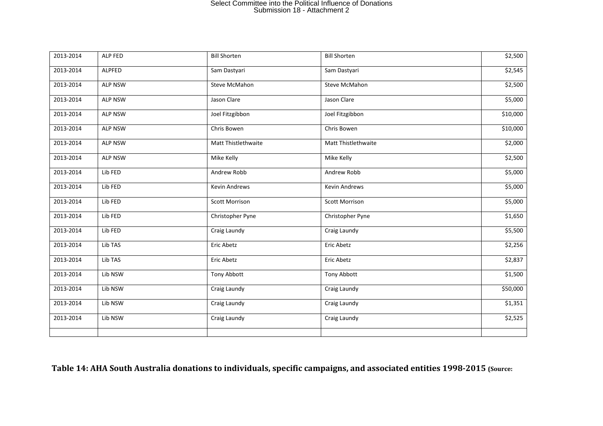| 2013-2014 | ALP FED        | <b>Bill Shorten</b>   | <b>Bill Shorten</b>   | \$2,500  |
|-----------|----------------|-----------------------|-----------------------|----------|
| 2013-2014 | <b>ALPFED</b>  | Sam Dastyari          | Sam Dastyari          | \$2,545  |
| 2013-2014 | <b>ALP NSW</b> | Steve McMahon         | Steve McMahon         | \$2,500  |
| 2013-2014 | <b>ALP NSW</b> | Jason Clare           | Jason Clare           | \$5,000  |
| 2013-2014 | <b>ALP NSW</b> | Joel Fitzgibbon       | Joel Fitzgibbon       | \$10,000 |
| 2013-2014 | <b>ALP NSW</b> | Chris Bowen           | Chris Bowen           | \$10,000 |
| 2013-2014 | <b>ALP NSW</b> | Matt Thistlethwaite   | Matt Thistlethwaite   | \$2,000  |
| 2013-2014 | <b>ALP NSW</b> | Mike Kelly            | Mike Kelly            | \$2,500  |
| 2013-2014 | Lib FED        | Andrew Robb           | Andrew Robb           | \$5,000  |
| 2013-2014 | Lib FED        | Kevin Andrews         | <b>Kevin Andrews</b>  | \$5,000  |
| 2013-2014 | Lib FED        | <b>Scott Morrison</b> | <b>Scott Morrison</b> | \$5,000  |
| 2013-2014 | Lib FED        | Christopher Pyne      | Christopher Pyne      | \$1,650  |
| 2013-2014 | Lib FED        | Craig Laundy          | Craig Laundy          | \$5,500  |
| 2013-2014 | Lib TAS        | Eric Abetz            | Eric Abetz            | \$2,256  |
| 2013-2014 | Lib TAS        | Eric Abetz            | Eric Abetz            | \$2,837  |
| 2013-2014 | Lib NSW        | <b>Tony Abbott</b>    | Tony Abbott           | \$1,500  |
| 2013-2014 | Lib NSW        | Craig Laundy          | Craig Laundy          | \$50,000 |
| 2013-2014 | Lib NSW        | Craig Laundy          | Craig Laundy          | \$1,351  |
| 2013-2014 | Lib NSW        | Craig Laundy          | Craig Laundy          | \$2,525  |
|           |                |                       |                       |          |

**Table 14: AHA South Australia donations to individuals, specific campaigns, and associated entities 1998-2015 (Source:**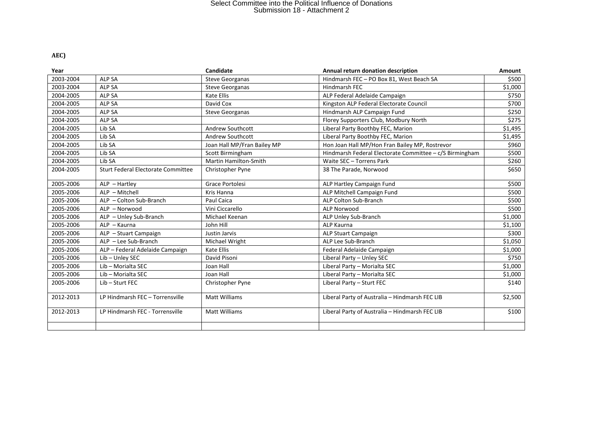**AEC)**

| Year      |                                           | Candidate                    | Annual return donation description                      | <b>Amount</b> |
|-----------|-------------------------------------------|------------------------------|---------------------------------------------------------|---------------|
| 2003-2004 | <b>ALP SA</b>                             | <b>Steve Georganas</b>       | Hindmarsh FEC - PO Box 81, West Beach SA                | \$500         |
| 2003-2004 | <b>ALP SA</b>                             | <b>Steve Georganas</b>       | Hindmarsh FEC                                           | \$1,000       |
| 2004-2005 | <b>ALP SA</b>                             | <b>Kate Ellis</b>            | ALP Federal Adelaide Campaign                           | \$750         |
| 2004-2005 | <b>ALP SA</b>                             | David Cox                    | Kingston ALP Federal Electorate Council                 | \$700         |
| 2004-2005 | <b>ALP SA</b>                             | <b>Steve Georganas</b>       | Hindmarsh ALP Campaign Fund                             | \$250         |
| 2004-2005 | <b>ALP SA</b>                             |                              | Florey Supporters Club, Modbury North                   | \$275         |
| 2004-2005 | Lib SA                                    | <b>Andrew Southcott</b>      | Liberal Party Boothby FEC, Marion                       | \$1,495       |
| 2004-2005 | Lib SA                                    | Andrew Southcott             | Liberal Party Boothby FEC, Marion                       | \$1,495       |
| 2004-2005 | Lib SA                                    | Joan Hall MP/Fran Bailey MP  | Hon Joan Hall MP/Hon Fran Bailey MP, Rostrevor          | \$960         |
| 2004-2005 | Lib SA                                    | Scott Birmingham             | Hindmarsh Federal Electorate Committee - c/S Birmingham | \$500         |
| 2004-2005 | Lib SA                                    | <b>Martin Hamilton-Smith</b> | Waite SEC - Torrens Park                                | \$260         |
| 2004-2005 | <b>Sturt Federal Electorate Committee</b> | Christopher Pyne             | 38 The Parade, Norwood                                  | \$650         |
| 2005-2006 | $ALP - Hartley$                           | Grace Portolesi              | ALP Hartley Campaign Fund                               | \$500         |
| 2005-2006 | ALP - Mitchell                            | Kris Hanna                   | ALP Mitchell Campaign Fund                              | \$500         |
| 2005-2006 | ALP - Colton Sub-Branch                   | Paul Caica                   | <b>ALP Colton Sub-Branch</b>                            | \$500         |
| 2005-2006 | ALP - Norwood                             | Vini Ciccarello              | <b>ALP Norwood</b>                                      | \$500         |
| 2005-2006 | ALP - Unley Sub-Branch                    | Michael Keenan               | ALP Unley Sub-Branch                                    | \$1,000       |
| 2005-2006 | ALP - Kaurna                              | John Hill                    | <b>ALP Kaurna</b>                                       | \$1,100       |
| 2005-2006 | ALP - Stuart Campaign                     | Justin Jarvis                | ALP Stuart Campaign                                     | \$300         |
| 2005-2006 | ALP - Lee Sub-Branch                      | Michael Wright               | ALP Lee Sub-Branch                                      | \$1,050       |
| 2005-2006 | ALP - Federal Adelaide Campaign           | Kate Ellis                   | Federal Adelaide Campaign                               | \$1,000       |
| 2005-2006 | Lib-Unley SEC                             | David Pisoni                 | Liberal Party - Unley SEC                               | \$750         |
| 2005-2006 | Lib - Morialta SEC                        | Joan Hall                    | Liberal Party - Morialta SEC                            | \$1,000       |
| 2005-2006 | Lib - Morialta SEC                        | Joan Hall                    | Liberal Party - Morialta SEC                            | \$1,000       |
| 2005-2006 | Lib - Sturt FEC                           | Christopher Pyne             | Liberal Party - Sturt FEC                               | \$140         |
| 2012-2013 | LP Hindmarsh FEC - Torrensville           | <b>Matt Williams</b>         | Liberal Party of Australia - Hindmarsh FEC LIB          | \$2,500       |
| 2012-2013 | LP Hindmarsh FEC - Torrensville           | <b>Matt Williams</b>         | Liberal Party of Australia - Hindmarsh FEC LIB          | \$100         |
|           |                                           |                              |                                                         |               |